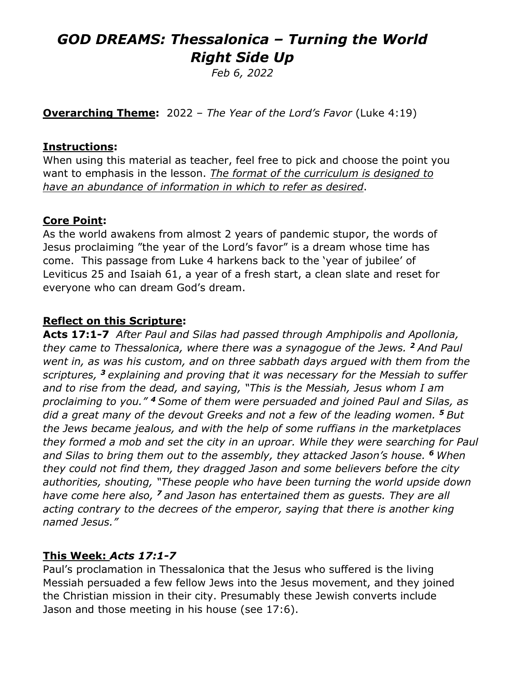# *GOD DREAMS: Thessalonica – Turning the World Right Side Up*

*Feb 6, 2022*

**Overarching Theme:** 2022 – *The Year of the Lord's Favor* (Luke 4:19)

#### **Instructions:**

When using this material as teacher, feel free to pick and choose the point you want to emphasis in the lesson. *The format of the curriculum is designed to have an abundance of information in which to refer as desired*.

## **Core Point:**

As the world awakens from almost 2 years of pandemic stupor, the words of Jesus proclaiming "the year of the Lord's favor" is a dream whose time has come. This passage from Luke 4 harkens back to the 'year of jubilee' of Leviticus 25 and Isaiah 61, a year of a fresh start, a clean slate and reset for everyone who can dream God's dream.

### **Reflect on this Scripture:**

**Acts 17:1-7** *After Paul and Silas had passed through Amphipolis and Apollonia, they came to Thessalonica, where there was a synagogue of the Jews. <sup>2</sup> And Paul went in, as was his custom, and on three sabbath days argued with them from the scriptures, <sup>3</sup> explaining and proving that it was necessary for the Messiah to suffer and to rise from the dead, and saying, "This is the Messiah, Jesus whom I am proclaiming to you." <sup>4</sup> Some of them were persuaded and joined Paul and Silas, as did a great many of the devout Greeks and not a few of the leading women. <sup>5</sup> But the Jews became jealous, and with the help of some ruffians in the marketplaces they formed a mob and set the city in an uproar. While they were searching for Paul and Silas to bring them out to the assembly, they attacked Jason's house. <sup>6</sup> When they could not find them, they dragged Jason and some believers before the city authorities, shouting, "These people who have been turning the world upside down have come here also, <sup>7</sup> and Jason has entertained them as guests. They are all acting contrary to the decrees of the emperor, saying that there is another king named Jesus."*

### **This Week:** *Acts 17:1-7*

Paul's proclamation in Thessalonica that the Jesus who suffered is the living Messiah persuaded a few fellow Jews into the Jesus movement, and they joined the Christian mission in their city. Presumably these Jewish converts include Jason and those meeting in his house (see 17:6).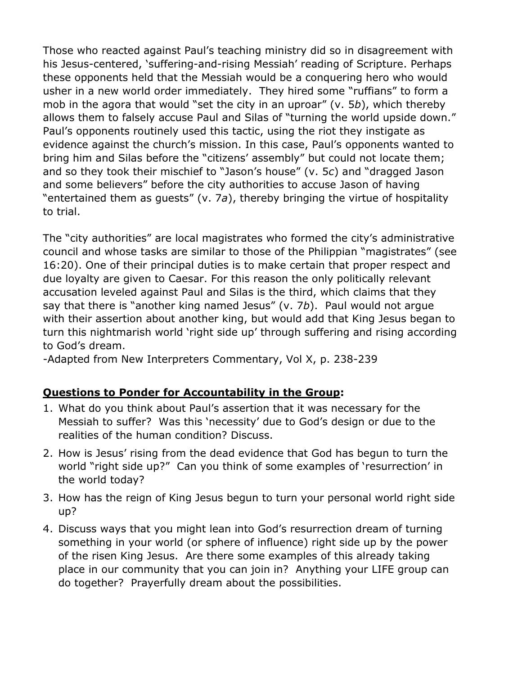Those who reacted against Paul's teaching ministry did so in disagreement with his Jesus-centered, 'suffering-and-rising Messiah' reading of Scripture. Perhaps these opponents held that the Messiah would be a conquering hero who would usher in a new world order immediately. They hired some "ruffians" to form a mob in the agora that would "set the city in an uproar" (v. 5*b*), which thereby allows them to falsely accuse Paul and Silas of "turning the world upside down." Paul's opponents routinely used this tactic, using the riot they instigate as evidence against the church's mission. In this case, Paul's opponents wanted to bring him and Silas before the "citizens' assembly" but could not locate them; and so they took their mischief to "Jason's house" (v. 5*c*) and "dragged Jason and some believers" before the city authorities to accuse Jason of having "entertained them as guests" (v. 7*a*), thereby bringing the virtue of hospitality to trial.

The "city authorities" are local magistrates who formed the city's administrative council and whose tasks are similar to those of the Philippian "magistrates" (see 16:20). One of their principal duties is to make certain that proper respect and due loyalty are given to Caesar. For this reason the only politically relevant accusation leveled against Paul and Silas is the third, which claims that they say that there is "another king named Jesus" (v. 7*b*). Paul would not argue with their assertion about another king, but would add that King Jesus began to turn this nightmarish world 'right side up' through suffering and rising according to God's dream.

-Adapted from New Interpreters Commentary, Vol X, p. 238-239

## **Questions to Ponder for Accountability in the Group:**

- 1. What do you think about Paul's assertion that it was necessary for the Messiah to suffer? Was this 'necessity' due to God's design or due to the realities of the human condition? Discuss.
- 2. How is Jesus' rising from the dead evidence that God has begun to turn the world "right side up?" Can you think of some examples of 'resurrection' in the world today?
- 3. How has the reign of King Jesus begun to turn your personal world right side up?
- 4. Discuss ways that you might lean into God's resurrection dream of turning something in your world (or sphere of influence) right side up by the power of the risen King Jesus. Are there some examples of this already taking place in our community that you can join in? Anything your LIFE group can do together? Prayerfully dream about the possibilities.